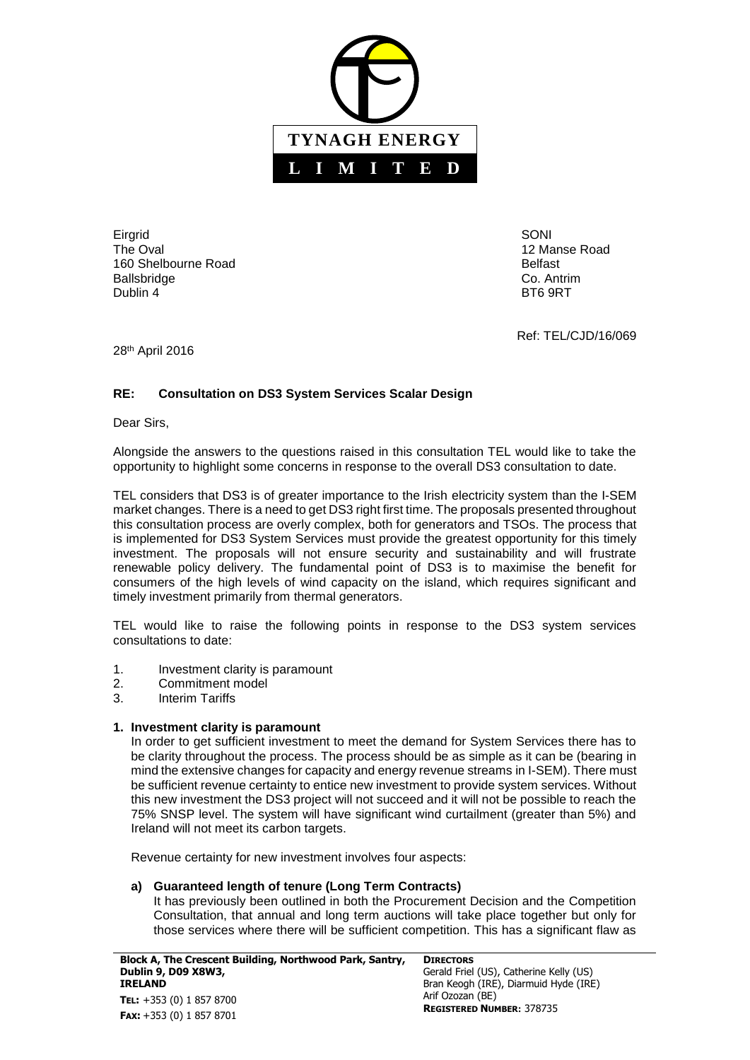

Eirgrid SONI The Oval **12 Manse Road** 12 Manse Road 12 Manse Road 12 Manse Road 12 Manse Road 12 Manse Road 12 Manse Road 12 Manse Road 12 Manse Road 12 Manse Road 12 Manse Road 12 Manse Road 12 Manse Road 12 Manse Road 12 Manse Road 1 160 Shelbourne Road **Belfast** Belfast Ballsbridge Co. Antrim Dublin 4 BT6 9RT

Ref: TEL/CJD/16/069

28<sup>th</sup> April 2016

# **RE: Consultation on DS3 System Services Scalar Design**

Dear Sirs,

Alongside the answers to the questions raised in this consultation TEL would like to take the opportunity to highlight some concerns in response to the overall DS3 consultation to date.

TEL considers that DS3 is of greater importance to the Irish electricity system than the I-SEM market changes. There is a need to get DS3 right first time. The proposals presented throughout this consultation process are overly complex, both for generators and TSOs. The process that is implemented for DS3 System Services must provide the greatest opportunity for this timely investment. The proposals will not ensure security and sustainability and will frustrate renewable policy delivery. The fundamental point of DS3 is to maximise the benefit for consumers of the high levels of wind capacity on the island, which requires significant and timely investment primarily from thermal generators.

TEL would like to raise the following points in response to the DS3 system services consultations to date:

- 1. Investment clarity is paramount<br>2 Commitment model
- 2. Commitment model
- 3. Interim Tariffs

# **1. Investment clarity is paramount**

In order to get sufficient investment to meet the demand for System Services there has to be clarity throughout the process. The process should be as simple as it can be (bearing in mind the extensive changes for capacity and energy revenue streams in I-SEM). There must be sufficient revenue certainty to entice new investment to provide system services. Without this new investment the DS3 project will not succeed and it will not be possible to reach the 75% SNSP level. The system will have significant wind curtailment (greater than 5%) and Ireland will not meet its carbon targets.

Revenue certainty for new investment involves four aspects:

# **a) Guaranteed length of tenure (Long Term Contracts)**

It has previously been outlined in both the Procurement Decision and the Competition Consultation, that annual and long term auctions will take place together but only for those services where there will be sufficient competition. This has a significant flaw as

**Block A, The Crescent Building, Northwood Park, Santry, Dublin 9, D09 X8W3, IRELAND TEL:** +353 (0) 1 857 8700 **FAX:** +353 (0) 1 857 8701

**DIRECTORS** Gerald Friel (US), Catherine Kelly (US) Bran Keogh (IRE), Diarmuid Hyde (IRE) Arif Ozozan (BE) **REGISTERED NUMBER:** 378735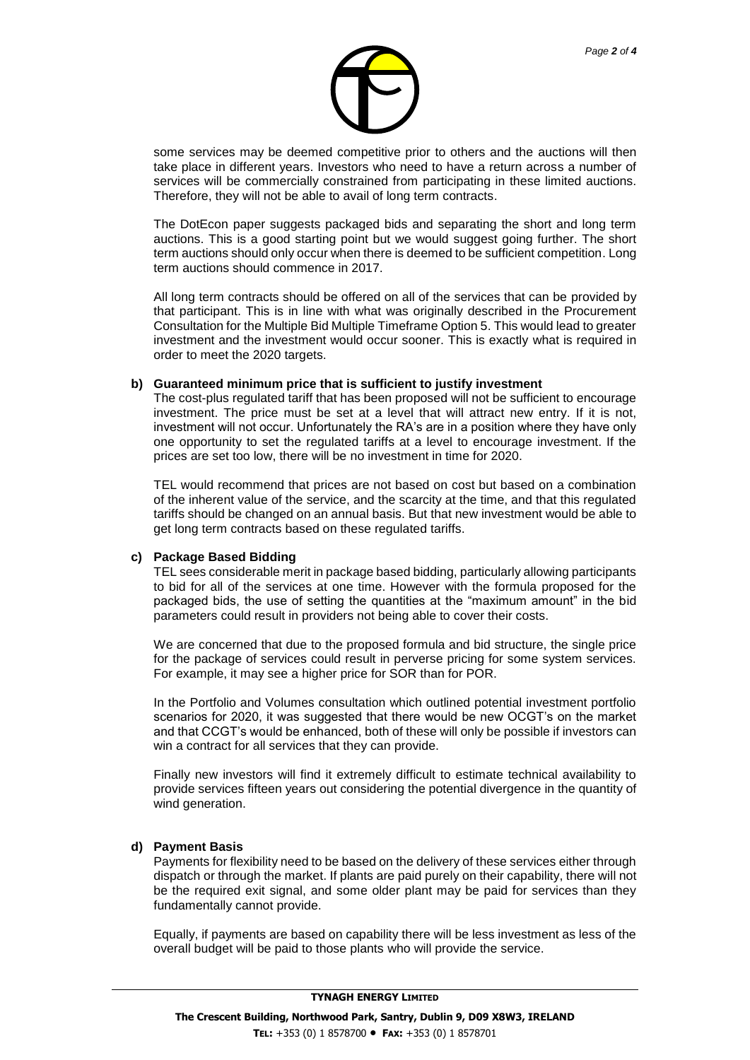

some services may be deemed competitive prior to others and the auctions will then take place in different years. Investors who need to have a return across a number of services will be commercially constrained from participating in these limited auctions. Therefore, they will not be able to avail of long term contracts.

The DotEcon paper suggests packaged bids and separating the short and long term auctions. This is a good starting point but we would suggest going further. The short term auctions should only occur when there is deemed to be sufficient competition. Long term auctions should commence in 2017.

All long term contracts should be offered on all of the services that can be provided by that participant. This is in line with what was originally described in the Procurement Consultation for the Multiple Bid Multiple Timeframe Option 5. This would lead to greater investment and the investment would occur sooner. This is exactly what is required in order to meet the 2020 targets.

#### **b) Guaranteed minimum price that is sufficient to justify investment**

The cost-plus regulated tariff that has been proposed will not be sufficient to encourage investment. The price must be set at a level that will attract new entry. If it is not, investment will not occur. Unfortunately the RA's are in a position where they have only one opportunity to set the regulated tariffs at a level to encourage investment. If the prices are set too low, there will be no investment in time for 2020.

TEL would recommend that prices are not based on cost but based on a combination of the inherent value of the service, and the scarcity at the time, and that this regulated tariffs should be changed on an annual basis. But that new investment would be able to get long term contracts based on these regulated tariffs.

#### **c) Package Based Bidding**

TEL sees considerable merit in package based bidding, particularly allowing participants to bid for all of the services at one time. However with the formula proposed for the packaged bids, the use of setting the quantities at the "maximum amount" in the bid parameters could result in providers not being able to cover their costs.

We are concerned that due to the proposed formula and bid structure, the single price for the package of services could result in perverse pricing for some system services. For example, it may see a higher price for SOR than for POR.

In the Portfolio and Volumes consultation which outlined potential investment portfolio scenarios for 2020, it was suggested that there would be new OCGT's on the market and that CCGT's would be enhanced, both of these will only be possible if investors can win a contract for all services that they can provide.

Finally new investors will find it extremely difficult to estimate technical availability to provide services fifteen years out considering the potential divergence in the quantity of wind generation.

#### **d) Payment Basis**

Payments for flexibility need to be based on the delivery of these services either through dispatch or through the market. If plants are paid purely on their capability, there will not be the required exit signal, and some older plant may be paid for services than they fundamentally cannot provide.

Equally, if payments are based on capability there will be less investment as less of the overall budget will be paid to those plants who will provide the service.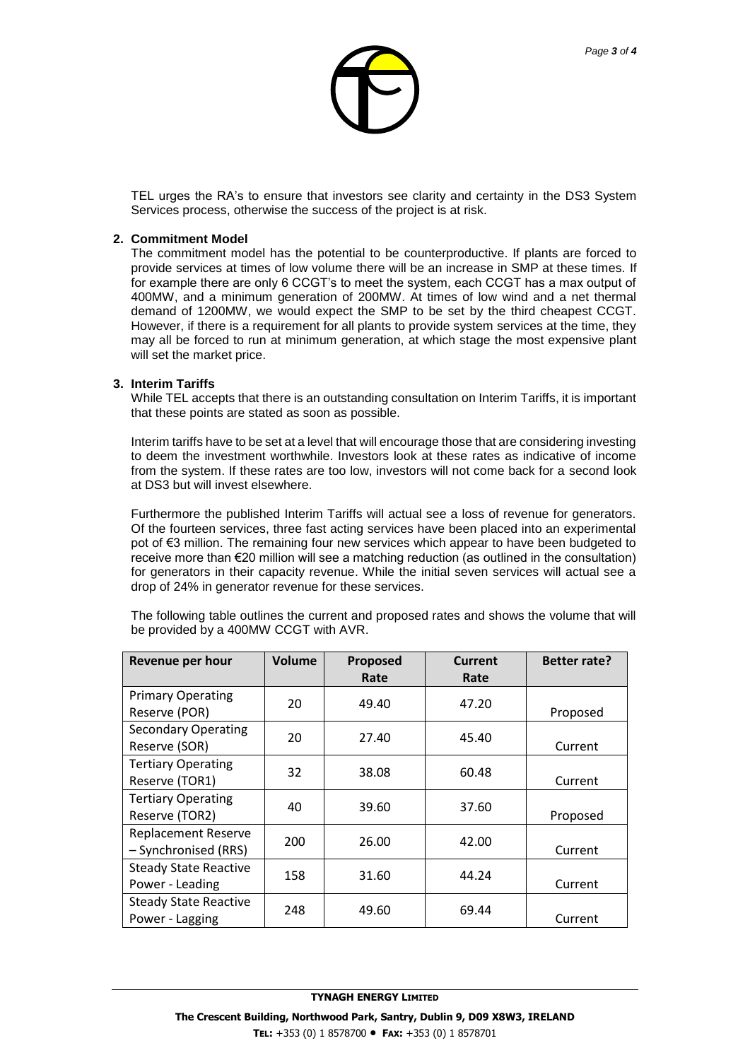

TEL urges the RA's to ensure that investors see clarity and certainty in the DS3 System Services process, otherwise the success of the project is at risk.

### **2. Commitment Model**

The commitment model has the potential to be counterproductive. If plants are forced to provide services at times of low volume there will be an increase in SMP at these times. If for example there are only 6 CCGT's to meet the system, each CCGT has a max output of 400MW, and a minimum generation of 200MW. At times of low wind and a net thermal demand of 1200MW, we would expect the SMP to be set by the third cheapest CCGT. However, if there is a requirement for all plants to provide system services at the time, they may all be forced to run at minimum generation, at which stage the most expensive plant will set the market price.

## **3. Interim Tariffs**

While TEL accepts that there is an outstanding consultation on Interim Tariffs, it is important that these points are stated as soon as possible.

Interim tariffs have to be set at a level that will encourage those that are considering investing to deem the investment worthwhile. Investors look at these rates as indicative of income from the system. If these rates are too low, investors will not come back for a second look at DS3 but will invest elsewhere.

Furthermore the published Interim Tariffs will actual see a loss of revenue for generators. Of the fourteen services, three fast acting services have been placed into an experimental pot of €3 million. The remaining four new services which appear to have been budgeted to receive more than €20 million will see a matching reduction (as outlined in the consultation) for generators in their capacity revenue. While the initial seven services will actual see a drop of 24% in generator revenue for these services.

The following table outlines the current and proposed rates and shows the volume that will be provided by a 400MW CCGT with AVR.

| Revenue per hour             | Volume | Proposed | <b>Current</b> | <b>Better rate?</b> |
|------------------------------|--------|----------|----------------|---------------------|
|                              |        | Rate     | Rate           |                     |
| <b>Primary Operating</b>     | 20     | 49.40    | 47.20          |                     |
| Reserve (POR)                |        |          |                | Proposed            |
| <b>Secondary Operating</b>   | 20     | 27.40    | 45.40          |                     |
| Reserve (SOR)                |        |          |                | Current             |
| <b>Tertiary Operating</b>    | 32     | 38.08    | 60.48          |                     |
| Reserve (TOR1)               |        |          |                | Current             |
| <b>Tertiary Operating</b>    | 40     | 39.60    | 37.60          |                     |
| Reserve (TOR2)               |        |          |                | Proposed            |
| <b>Replacement Reserve</b>   | 200    | 26.00    | 42.00          |                     |
| - Synchronised (RRS)         |        |          |                | Current             |
| <b>Steady State Reactive</b> | 158    | 31.60    | 44.24          |                     |
| Power - Leading              |        |          |                | Current             |
| <b>Steady State Reactive</b> | 248    | 49.60    | 69.44          |                     |
| Power - Lagging              |        |          |                | Current             |

## **TYNAGH ENERGY LIMITED**